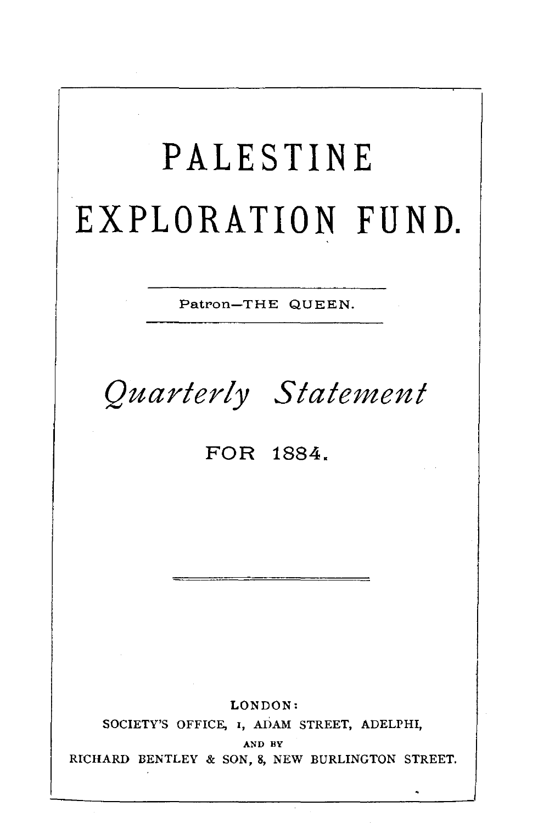| PALESTINE<br>EXPLORATION FUND.                                                                                      |
|---------------------------------------------------------------------------------------------------------------------|
| Patron-THE QUEEN.                                                                                                   |
| Quarterly Statement<br>FOR 1884.                                                                                    |
|                                                                                                                     |
|                                                                                                                     |
|                                                                                                                     |
| LONDON:<br>SOCIETY'S OFFICE, I, ADAM STREET, ADELPHI,<br>AND BY<br>RICHARD BENTLEY & SON, 8, NEW BURLINGTON STREET. |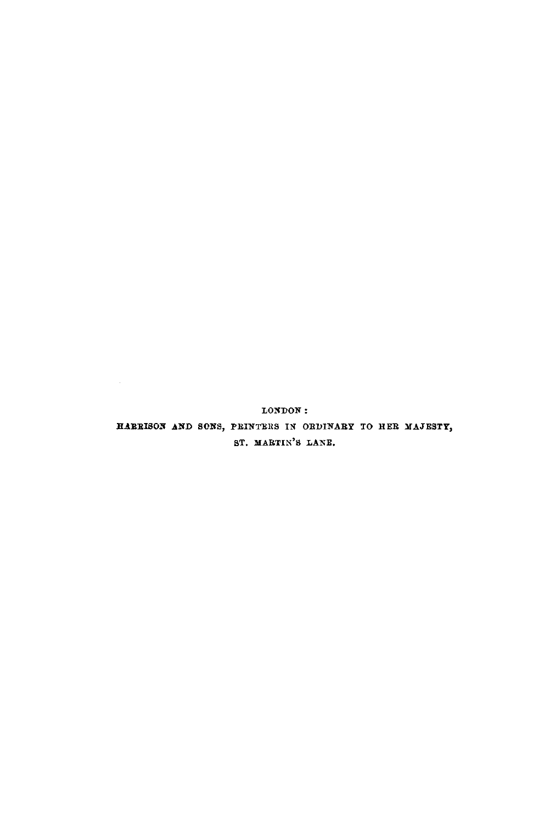LONDON: HARRISON AND SONS, PRINTERS IN ORDINARY TO HER MAJESTY, ST. MARTIN'S LANE.